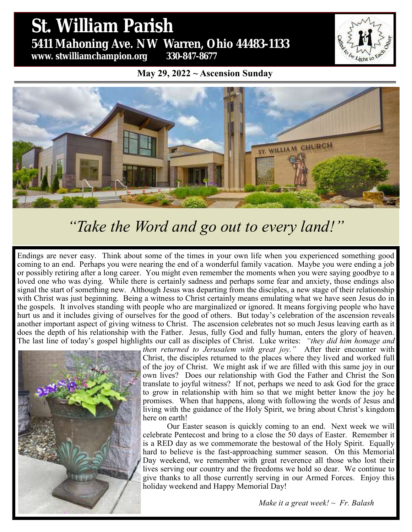## St. William Parish **St. William Parish** 5431 Mahoning Ave. NW Warren, Ohio 44483 **5411 Mahoning Ave. NW Warren, Ohio 44483-1133 www. stwilliamchampion.org 330-847-8677**

Light

**May 29, 2022 ~ Ascension Sunday**



# *"Take the Word and go out to every land!"*

Endings are never easy. Think about some of the times in your own life when you experienced something good coming to an end. Perhaps you were nearing the end of a wonderful family vacation. Maybe you were ending a job or possibly retiring after a long career. You might even remember the moments when you were saying goodbye to a loved one who was dying. While there is certainly sadness and perhaps some fear and anxiety, those endings also signal the start of something new. Although Jesus was departing from the disciples, a new stage of their relationship with Christ was just beginning. Being a witness to Christ certainly means emulating what we have seen Jesus do in the gospels. It involves standing with people who are marginalized or ignored. It means forgiving people who have hurt us and it includes giving of ourselves for the good of others. But today's celebration of the ascension reveals another important aspect of giving witness to Christ. The ascension celebrates not so much Jesus leaving earth as it does the depth of his relationship with the Father. Jesus, fully God and fully human, enters the glory of heaven. The last line of today's gospel highlights our call as disciples of Christ. Luke writes: *"they did him homage and* 



*then returned to Jerusalem with great joy."* After their encounter with Christ, the disciples returned to the places where they lived and worked full of the joy of Christ. We might ask if we are filled with this same joy in our own lives? Does our relationship with God the Father and Christ the Son translate to joyful witness? If not, perhaps we need to ask God for the grace to grow in relationship with him so that we might better know the joy he promises. When that happens, along with following the words of Jesus and living with the guidance of the Holy Spirit, we bring about Christ's kingdom here on earth!

Our Easter season is quickly coming to an end. Next week we will celebrate Pentecost and bring to a close the 50 days of Easter. Remember it is a RED day as we commemorate the bestowal of the Holy Spirit. Equally hard to believe is the fast-approaching summer season. On this Memorial Day weekend, we remember with great reverence all those who lost their lives serving our country and the freedoms we hold so dear. We continue to give thanks to all those currently serving in our Armed Forces. Enjoy this holiday weekend and Happy Memorial Day!

*Make it a great week! ~ Fr. Balash*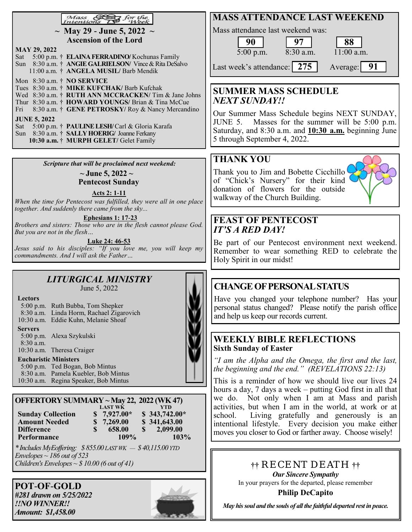|                                                                                                            | <b>MASS ATTENDANCE LAST WEEKEND</b>                   |  |  |  |
|------------------------------------------------------------------------------------------------------------|-------------------------------------------------------|--|--|--|
| Mass & for the<br>Intentions As Week                                                                       |                                                       |  |  |  |
| ~ May 29 - June 5, 2022 ~                                                                                  | Mass attendance last weekend was:                     |  |  |  |
| <b>Ascension of the Lord</b>                                                                               | 88<br>90                                              |  |  |  |
| <b>MAY 29, 2022</b>                                                                                        | $8:30$ a.m.<br>$11:00$ a.m.<br>$5:00$ p.m.            |  |  |  |
| 5:00 p.m. † ELAINA FERRADINO/Kochunas Family<br>Sat                                                        |                                                       |  |  |  |
| Sun 8:30 a.m. † ANGIE GALRIELSON/Vince & Rita DeSalvo                                                      | Last week's attendance: 275<br>Average:               |  |  |  |
| 11:00 a.m. † ANGELA MUSIL/ Barb Mendik                                                                     |                                                       |  |  |  |
| Mon 8:30 a.m. † NO SERVICE                                                                                 |                                                       |  |  |  |
| Tues 8:30 a.m. † MIKE KUFCHAK/ Barb Kufchak                                                                | <b>SUMMER MASS SCHEDULE</b>                           |  |  |  |
| Wed 8:30 a.m. † RUTH ANN MCCRACKEN/ Tim & Jane Johns<br>Thur 8:30 a.m. † HOWARD YOUNGS/ Brian & Tina McCue | NEXT SUNDAY!!                                         |  |  |  |
| 8:30 a.m. † GENE PETROSKY/ Roy & Nancy Mercandino<br>Fri                                                   |                                                       |  |  |  |
|                                                                                                            | Our Summer Mass Schedule begins NEXT SUNDAY,          |  |  |  |
| <b>JUNE 5, 2022</b>                                                                                        | JUNE 5. Masses for the summer will be 5:00 p.m.       |  |  |  |
| 5:00 p.m. † PAULINE LESH/Carl & Gloria Karafa<br>Sat                                                       | Saturday, and 8:30 a.m. and 10:30 a.m. beginning June |  |  |  |
| Sun 8:30 a.m. † SALLY HOERIG/ Joanne Ferkany                                                               |                                                       |  |  |  |
| 10:30 a.m. † MURPH GELET/ Gelet Family                                                                     | 5 through September 4, 2022.                          |  |  |  |

*Scripture that will be proclaimed next weekend:*

**~ June 5, 2022 ~ Pentecost Sunday**

**Acts 2: 1-11**

*When the time for Pentecost was fulfilled, they were all in one place together. And suddenly there came from the sky...*

**Ephesians 1: 17-23** *Brothers and sisters: Those who are in the flesh cannot please God. But you are not in the flesh…*

**Luke 24: 46-53**

*Jesus said to his disciples: "If you love me, you will keep my commandments. And I will ask the Father…*

#### *LITURGICAL MINISTRY*  June 5, 2022

| Lectors        |                                          |
|----------------|------------------------------------------|
|                | 5:00 p.m. Ruth Bubba, Tom Shepker        |
|                | 8:30 a.m. Linda Horm, Rachael Zigarovich |
|                | 10:30 a.m. Eddie Kuhn, Melanie Shoaf     |
| <b>Servers</b> |                                          |
|                | 5:00 p.m. Alexa Szykulski                |
| $8:30$ a.m.    |                                          |

10:30 a.m. Theresa Craiger

#### **Eucharistic Ministers**

5:00 p.m. Ted Bogan, Bob Mintus 8:30 a.m. Pamela Kuebler, Bob Mintus 10:30 a.m. Regina Speaker, Bob Mintus

| OFFERTORY SUMMARY ~ May 22, 2022 (WK 47) |    |                |          |                |
|------------------------------------------|----|----------------|----------|----------------|
|                                          |    | <b>LAST WK</b> |          | <b>YTD</b>     |
| <b>Sunday Collection</b>                 |    | $$7,927.00*$   |          | $$343,742.00*$ |
| <b>Amount Needed</b>                     |    | \$7,269.00     |          | \$341,643.00   |
| <b>Difference</b>                        | S. | 658.00         | <b>S</b> | 2,099.00       |
| Performance                              |    | 109%           |          | 103%           |

*\* Includes MyEoffering: \$ 855.00 LAST WK — \$ 40,115.00 YTD Envelopes ~ 186 out of 523 Children's Envelopes ~ \$ 10.00 (6 out of 41)*

**POT**-**OF**-**GOLD** *#281 drawn on 5/25/2022 !!NO WINNER!! Amount: \$1,458.00*



# Holy Spirit in our midst!

Thank you to Jim and Bobette Cicchillo of "Chick's Nursery" for their kind donation of flowers for the outside

**FEAST OF PENTECOST**

walkway of the Church Building.

*IT'S A RED DAY!*

**THANK YOU**

## **CHANGE OF PERSONAL STATUS**

Have you changed your telephone number? Has your personal status changed? Please notify the parish office and help us keep our records current.

Be part of our Pentecost environment next weekend. Remember to wear something RED to celebrate the

#### **WEEKLY BIBLE REFLECTIONS Sixth Sunday of Easter**

*"I am the Alpha and the Omega, the first and the last, the beginning and the end." (REVELATIONS 22:13)*

This is a reminder of how we should live our lives 24 hours a day, 7 days a week – putting God first in all that we do. Not only when I am at Mass and parish activities, but when I am in the world, at work or at school. Living gratefully and generously is an intentional lifestyle. Every decision you make either moves you closer to God or farther away. Choose wisely!

> **††** RECENT DEATH **††** *Our Sincere Sympathy* In your prayers for the departed, please remember **Philip DeCapito**

*May his soul and the souls of all the faithful departed rest in peace.*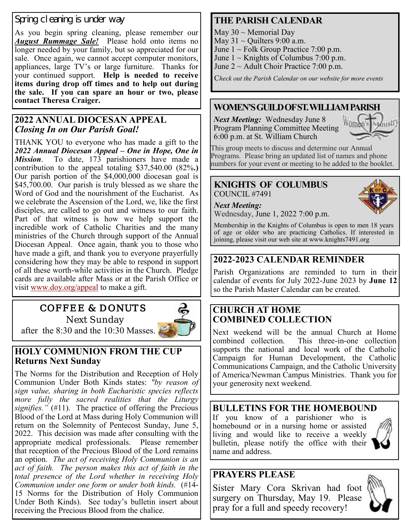#### Spring cleaning is under way

As you begin spring cleaning, please remember our *August Rummage Sale!* Please hold onto items no longer needed by your family, but so appreciated for our sale. Once again, we cannot accept computer monitors, appliances, large TV's or large furniture. Thanks for your continued support. **Help is needed to receive items during drop off times and to help out during the sale. If you can spare an hour or two, please contact Theresa Craiger.**

#### **2022 ANNUAL DIOCESAN APPEAL** *Closing In on Our Parish Goal!*

THANK YOU to everyone who has made a gift to the *2022 Annual Diocesan Appeal – One in Hope, One in Mission*. To date, 173 parishioners have made a contribution to the appeal totaling \$37,540.00 (82%**.)** Our parish portion of the \$4,000,000 diocesan goal is \$45,700.00. Our parish is truly blessed as we share the Word of God and the nourishment of the Eucharist. As we celebrate the Ascension of the Lord, we, like the first disciples, are called to go out and witness to our faith. Part of that witness is how we help support the incredible work of Catholic Charities and the many ministries of the Church through support of the Annual Diocesan Appeal. Once again, thank you to those who have made a gift, and thank you to everyone prayerfully considering how they may be able to respond in support of all these worth-while activities in the Church. Pledge cards are available after Mass or at the Parish Office or visit [www.doy.org/appeal](about:blank) to make a gift.

## COFFEE & DONUTS

Next Sunday after the 8:30 and the 10:30 Masses.



### **HOLY COMMUNION FROM THE CUP Returns Next Sunday**

The Norms for the Distribution and Reception of Holy Communion Under Both Kinds states: *"by reason of sign value, sharing in both Eucharistic species reflects more fully the sacred realities that the Liturgy signifies."* (#11). The practice of offering the Precious Blood of the Lord at Mass during Holy Communion will return on the Solemnity of Pentecost Sunday, June 5, 2022. This decision was made after consulting with the appropriate medical professionals. Please remember that reception of the Precious Blood of the Lord remains an option. *The act of receiving Holy Communion is an act of faith. The person makes this act of faith in the total presence of the Lord whether in receiving Holy Communion under one form or under both kinds.* (#14- 15 Norms for the Distribution of Holy Communion Under Both Kinds). See today's bulletin insert about receiving the Precious Blood from the chalice.

## **THE PARISH CALENDAR**

May  $30 \sim$  Memorial Day

- May  $31 \sim$  Quilters 9:00 a.m.
- June  $1 \sim$  Folk Group Practice 7:00 p.m.
- June  $1 \sim$  Knights of Columbus 7:00 p.m.

June 2 ~ Adult Choir Practice 7:00 p.m.

C*heck out the Parish Calendar on our website for more events*

#### **WOMEN'S GUILD OF ST. WILLIAM PARISH**

*Next Meeting:* Wednesday June 8 Program Planning Committee Meeting 6:00 p.m. at St. William Church



This group meets to discuss and determine our Annual Programs. Please bring an updated list of names and phone numbers for your event or meeting to be added to the booklet.

#### **KNIGHTS OF COLUMBUS** COUNCIL #7491

*Next Meeting:*

Wednesday, June 1, 2022 7:00 p.m.

Membership in the Knights of Columbus is open to men 18 years of age or older who are practicing Catholics. If interested in joining, please visit our web site at www.knights7491.org

## **2022-2023 CALENDAR REMINDER**

Parish Organizations are reminded to turn in their calendar of events for July 2022-June 2023 by **June 12**  so the Parish Master Calendar can be created.

#### **CHURCH AT HOME COMBINED COLLECTION**

Next weekend will be the annual Church at Home combined collection. This three-in-one collection supports the national and local work of the Catholic Campaign for Human Development, the Catholic Communications Campaign, and the Catholic University of America/Newman Campus Ministries. Thank you for your generosity next weekend.

## **BULLETINS FOR THE HOMEBOUND**

If you know of a parishioner who is homebound or in a nursing home or assisted living and would like to receive a weekly bulletin, please notify the office with their name and address.

## **PRAYERS PLEASE**

Sister Mary Cora Skrivan had foot surgery on Thursday, May 19. Please pray for a full and speedy recovery!